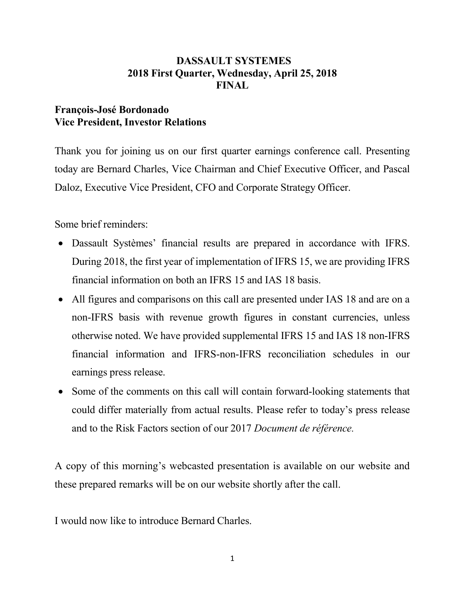### DASSAULT SYSTEMES 2018 First Quarter, Wednesday, April 25, 2018 FINAL

### François-José Bordonado Vice President, Investor Relations

Thank you for joining us on our first quarter earnings conference call. Presenting today are Bernard Charles, Vice Chairman and Chief Executive Officer, and Pascal Daloz, Executive Vice President, CFO and Corporate Strategy Officer.

Some brief reminders:

- Dassault Systèmes' financial results are prepared in accordance with IFRS. During 2018, the first year of implementation of IFRS 15, we are providing IFRS financial information on both an IFRS 15 and IAS 18 basis.
- All figures and comparisons on this call are presented under IAS 18 and are on a non-IFRS basis with revenue growth figures in constant currencies, unless otherwise noted. We have provided supplemental IFRS 15 and IAS 18 non-IFRS financial information and IFRS-non-IFRS reconciliation schedules in our earnings press release.
- Some of the comments on this call will contain forward-looking statements that could differ materially from actual results. Please refer to today's press release and to the Risk Factors section of our 2017 Document de référence.

A copy of this morning's webcasted presentation is available on our website and these prepared remarks will be on our website shortly after the call.

I would now like to introduce Bernard Charles.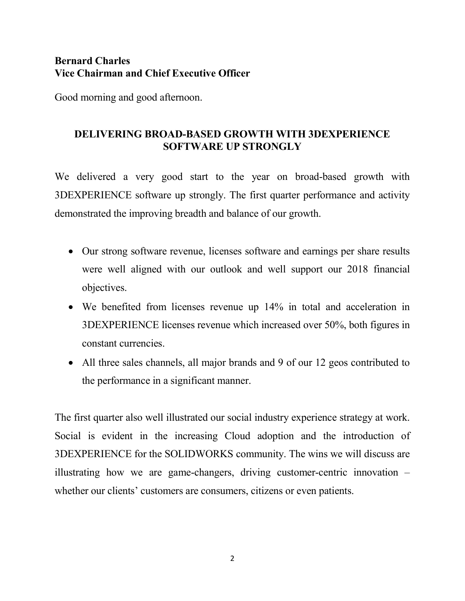### Bernard Charles Vice Chairman and Chief Executive Officer

Good morning and good afternoon.

# DELIVERING BROAD-BASED GROWTH WITH 3DEXPERIENCE SOFTWARE UP STRONGLY

We delivered a very good start to the year on broad-based growth with 3DEXPERIENCE software up strongly. The first quarter performance and activity demonstrated the improving breadth and balance of our growth.

- Our strong software revenue, licenses software and earnings per share results were well aligned with our outlook and well support our 2018 financial objectives.
- We benefited from licenses revenue up 14% in total and acceleration in 3DEXPERIENCE licenses revenue which increased over 50%, both figures in constant currencies.
- All three sales channels, all major brands and 9 of our 12 geos contributed to the performance in a significant manner.

The first quarter also well illustrated our social industry experience strategy at work. Social is evident in the increasing Cloud adoption and the introduction of 3DEXPERIENCE for the SOLIDWORKS community. The wins we will discuss are illustrating how we are game-changers, driving customer-centric innovation – whether our clients' customers are consumers, citizens or even patients.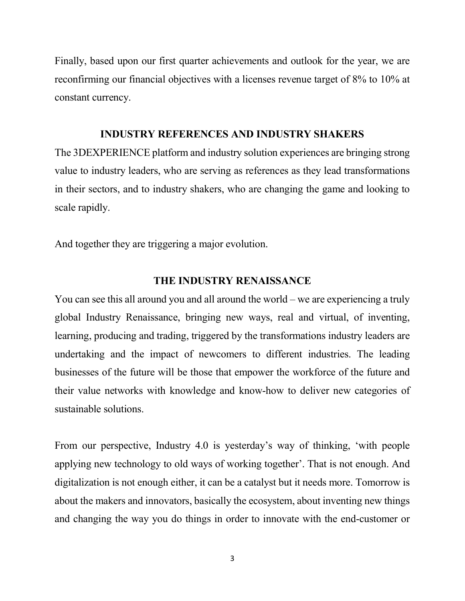Finally, based upon our first quarter achievements and outlook for the year, we are reconfirming our financial objectives with a licenses revenue target of 8% to 10% at constant currency.

### INDUSTRY REFERENCES AND INDUSTRY SHAKERS

The 3DEXPERIENCE platform and industry solution experiences are bringing strong value to industry leaders, who are serving as references as they lead transformations in their sectors, and to industry shakers, who are changing the game and looking to scale rapidly.

And together they are triggering a major evolution.

### THE INDUSTRY RENAISSANCE

You can see this all around you and all around the world – we are experiencing a truly global Industry Renaissance, bringing new ways, real and virtual, of inventing, learning, producing and trading, triggered by the transformations industry leaders are undertaking and the impact of newcomers to different industries. The leading businesses of the future will be those that empower the workforce of the future and their value networks with knowledge and know-how to deliver new categories of sustainable solutions.

From our perspective, Industry 4.0 is yesterday's way of thinking, 'with people applying new technology to old ways of working together'. That is not enough. And digitalization is not enough either, it can be a catalyst but it needs more. Tomorrow is about the makers and innovators, basically the ecosystem, about inventing new things and changing the way you do things in order to innovate with the end-customer or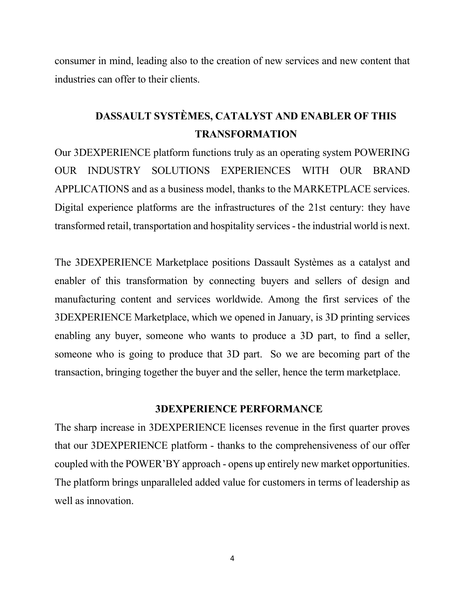consumer in mind, leading also to the creation of new services and new content that industries can offer to their clients.

# DASSAULT SYSTÈMES, CATALYST AND ENABLER OF THIS TRANSFORMATION

Our 3DEXPERIENCE platform functions truly as an operating system POWERING OUR INDUSTRY SOLUTIONS EXPERIENCES WITH OUR BRAND APPLICATIONS and as a business model, thanks to the MARKETPLACE services. Digital experience platforms are the infrastructures of the 21st century: they have transformed retail, transportation and hospitality services - the industrial world is next.

The 3DEXPERIENCE Marketplace positions Dassault Systèmes as a catalyst and enabler of this transformation by connecting buyers and sellers of design and manufacturing content and services worldwide. Among the first services of the 3DEXPERIENCE Marketplace, which we opened in January, is 3D printing services enabling any buyer, someone who wants to produce a 3D part, to find a seller, someone who is going to produce that 3D part. So we are becoming part of the transaction, bringing together the buyer and the seller, hence the term marketplace.

#### 3DEXPERIENCE PERFORMANCE

The sharp increase in 3DEXPERIENCE licenses revenue in the first quarter proves that our 3DEXPERIENCE platform - thanks to the comprehensiveness of our offer coupled with the POWER'BY approach - opens up entirely new market opportunities. The platform brings unparalleled added value for customers in terms of leadership as well as innovation.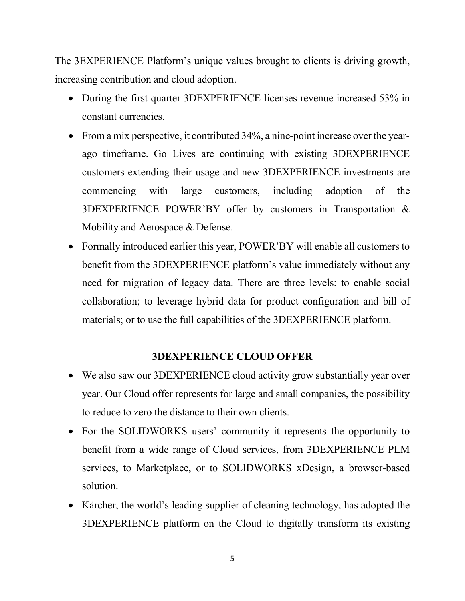The 3EXPERIENCE Platform's unique values brought to clients is driving growth, increasing contribution and cloud adoption.

- During the first quarter 3DEXPERIENCE licenses revenue increased 53% in constant currencies.
- From a mix perspective, it contributed 34%, a nine-point increase over the yearago timeframe. Go Lives are continuing with existing 3DEXPERIENCE customers extending their usage and new 3DEXPERIENCE investments are commencing with large customers, including adoption of the 3DEXPERIENCE POWER'BY offer by customers in Transportation & Mobility and Aerospace & Defense.
- Formally introduced earlier this year, POWER'BY will enable all customers to benefit from the 3DEXPERIENCE platform's value immediately without any need for migration of legacy data. There are three levels: to enable social collaboration; to leverage hybrid data for product configuration and bill of materials; or to use the full capabilities of the 3DEXPERIENCE platform.

### 3DEXPERIENCE CLOUD OFFER

- We also saw our 3DEXPERIENCE cloud activity grow substantially year over year. Our Cloud offer represents for large and small companies, the possibility to reduce to zero the distance to their own clients.
- For the SOLIDWORKS users' community it represents the opportunity to benefit from a wide range of Cloud services, from 3DEXPERIENCE PLM services, to Marketplace, or to SOLIDWORKS xDesign, a browser-based solution.
- Kärcher, the world's leading supplier of cleaning technology, has adopted the 3DEXPERIENCE platform on the Cloud to digitally transform its existing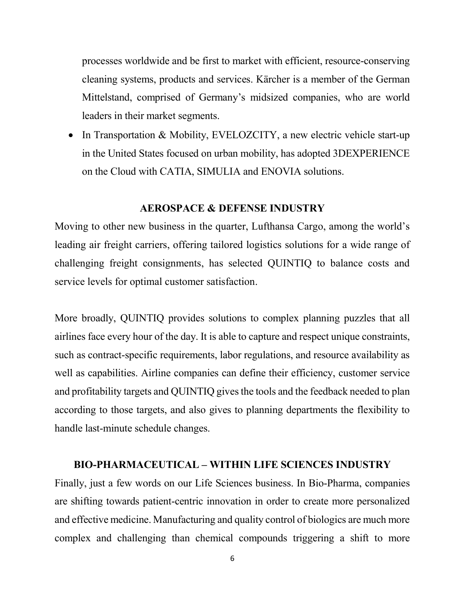processes worldwide and be first to market with efficient, resource-conserving cleaning systems, products and services. Kärcher is a member of the German Mittelstand, comprised of Germany's midsized companies, who are world leaders in their market segments.

• In Transportation & Mobility, EVELOZCITY, a new electric vehicle start-up in the United States focused on urban mobility, has adopted 3DEXPERIENCE on the Cloud with CATIA, SIMULIA and ENOVIA solutions.

#### AEROSPACE & DEFENSE INDUSTRY

Moving to other new business in the quarter, Lufthansa Cargo, among the world's leading air freight carriers, offering tailored logistics solutions for a wide range of challenging freight consignments, has selected QUINTIQ to balance costs and service levels for optimal customer satisfaction.

More broadly, QUINTIQ provides solutions to complex planning puzzles that all airlines face every hour of the day. It is able to capture and respect unique constraints, such as contract-specific requirements, labor regulations, and resource availability as well as capabilities. Airline companies can define their efficiency, customer service and profitability targets and QUINTIQ gives the tools and the feedback needed to plan according to those targets, and also gives to planning departments the flexibility to handle last-minute schedule changes.

#### BIO-PHARMACEUTICAL – WITHIN LIFE SCIENCES INDUSTRY

Finally, just a few words on our Life Sciences business. In Bio-Pharma, companies are shifting towards patient-centric innovation in order to create more personalized and effective medicine. Manufacturing and quality control of biologics are much more complex and challenging than chemical compounds triggering a shift to more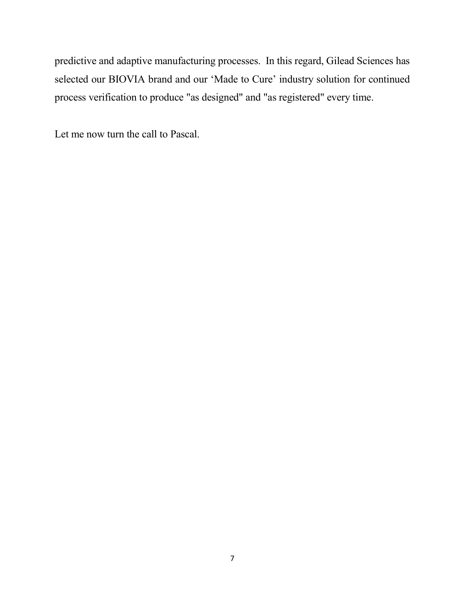predictive and adaptive manufacturing processes. In this regard, Gilead Sciences has selected our BIOVIA brand and our 'Made to Cure' industry solution for continued process verification to produce "as designed" and "as registered" every time.

Let me now turn the call to Pascal.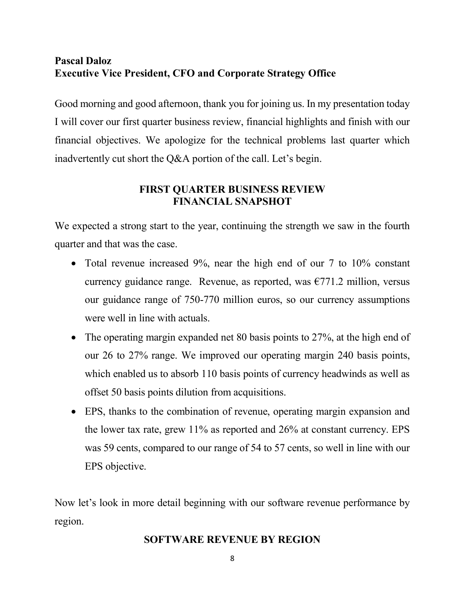# Pascal Daloz Executive Vice President, CFO and Corporate Strategy Office

Good morning and good afternoon, thank you for joining us. In my presentation today I will cover our first quarter business review, financial highlights and finish with our financial objectives. We apologize for the technical problems last quarter which inadvertently cut short the Q&A portion of the call. Let's begin.

## FIRST QUARTER BUSINESS REVIEW FINANCIAL SNAPSHOT

We expected a strong start to the year, continuing the strength we saw in the fourth quarter and that was the case.

- Total revenue increased 9%, near the high end of our 7 to 10% constant currency guidance range. Revenue, as reported, was  $\epsilon$ 771.2 million, versus our guidance range of 750-770 million euros, so our currency assumptions were well in line with actuals.
- The operating margin expanded net 80 basis points to 27%, at the high end of our 26 to 27% range. We improved our operating margin 240 basis points, which enabled us to absorb 110 basis points of currency headwinds as well as offset 50 basis points dilution from acquisitions.
- EPS, thanks to the combination of revenue, operating margin expansion and the lower tax rate, grew 11% as reported and 26% at constant currency. EPS was 59 cents, compared to our range of 54 to 57 cents, so well in line with our EPS objective.

Now let's look in more detail beginning with our software revenue performance by region.

### SOFTWARE REVENUE BY REGION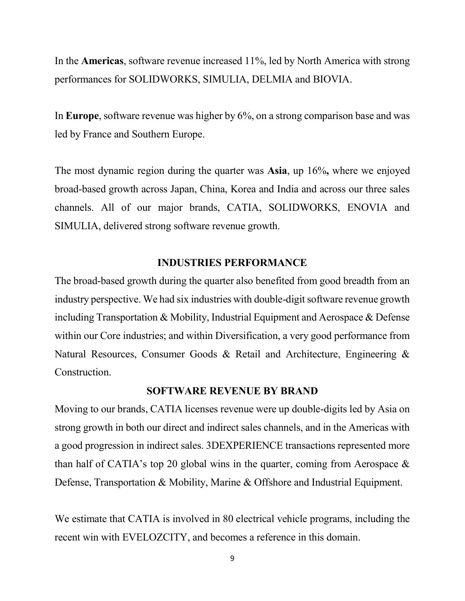In the Americas, software revenue increased 11%, led by North America with strong performances for SOLIDWORKS, SIMULIA, DELMIA and BIOVIA.

In Europe, software revenue was higher by 6%, on a strong comparison base and was led by France and Southern Europe.

The most dynamic region during the quarter was Asia, up 16%, where we enjoyed broad-based growth across Japan, China, Korea and India and across our three sales channels. All of our major brands, CATIA, SOLIDWORKS, ENOVIA and SIMULIA, delivered strong software revenue growth.

### INDUSTRIES PERFORMANCE

The broad-based growth during the quarter also benefited from good breadth from an industry perspective. We had six industries with double-digit software revenue growth including Transportation & Mobility, Industrial Equipment and Aerospace & Defense within our Core industries; and within Diversification, a very good performance from Natural Resources, Consumer Goods & Retail and Architecture, Engineering & Construction.

#### SOFTWARE REVENUE BY BRAND

Moving to our brands, CATIA licenses revenue were up double-digits led by Asia on strong growth in both our direct and indirect sales channels, and in the Americas with a good progression in indirect sales. 3DEXPERIENCE transactions represented more than half of CATIA's top 20 global wins in the quarter, coming from Aerospace  $\&$ Defense, Transportation & Mobility, Marine & Offshore and Industrial Equipment.

We estimate that CATIA is involved in 80 electrical vehicle programs, including the recent win with EVELOZCITY, and becomes a reference in this domain.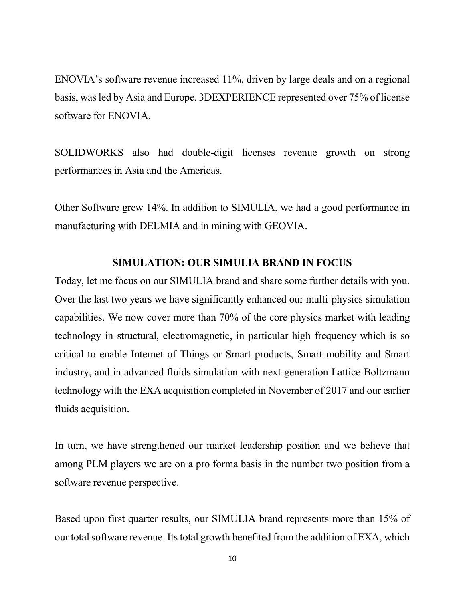ENOVIA's software revenue increased 11%, driven by large deals and on a regional basis, was led by Asia and Europe. 3DEXPERIENCE represented over 75% of license software for ENOVIA.

SOLIDWORKS also had double-digit licenses revenue growth on strong performances in Asia and the Americas.

Other Software grew 14%. In addition to SIMULIA, we had a good performance in manufacturing with DELMIA and in mining with GEOVIA.

### SIMULATION: OUR SIMULIA BRAND IN FOCUS

Today, let me focus on our SIMULIA brand and share some further details with you. Over the last two years we have significantly enhanced our multi-physics simulation capabilities. We now cover more than 70% of the core physics market with leading technology in structural, electromagnetic, in particular high frequency which is so critical to enable Internet of Things or Smart products, Smart mobility and Smart industry, and in advanced fluids simulation with next-generation Lattice-Boltzmann technology with the EXA acquisition completed in November of 2017 and our earlier fluids acquisition.

In turn, we have strengthened our market leadership position and we believe that among PLM players we are on a pro forma basis in the number two position from a software revenue perspective.

Based upon first quarter results, our SIMULIA brand represents more than 15% of our total software revenue. Its total growth benefited from the addition of EXA, which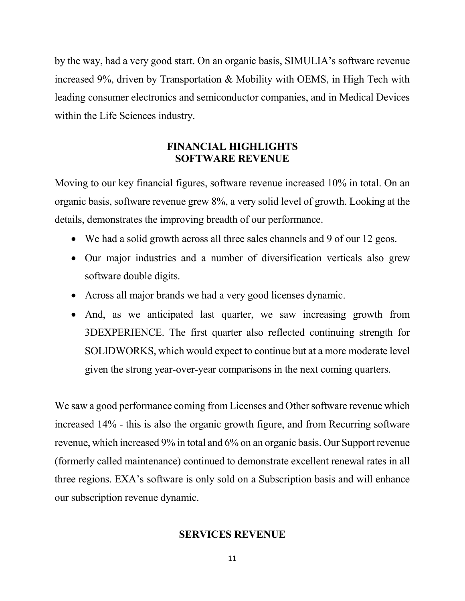by the way, had a very good start. On an organic basis, SIMULIA's software revenue increased 9%, driven by Transportation & Mobility with OEMS, in High Tech with leading consumer electronics and semiconductor companies, and in Medical Devices within the Life Sciences industry.

### FINANCIAL HIGHLIGHTS SOFTWARE REVENUE

Moving to our key financial figures, software revenue increased 10% in total. On an organic basis, software revenue grew 8%, a very solid level of growth. Looking at the details, demonstrates the improving breadth of our performance.

- We had a solid growth across all three sales channels and 9 of our 12 geos.
- Our major industries and a number of diversification verticals also grew software double digits.
- Across all major brands we had a very good licenses dynamic.
- And, as we anticipated last quarter, we saw increasing growth from 3DEXPERIENCE. The first quarter also reflected continuing strength for SOLIDWORKS, which would expect to continue but at a more moderate level given the strong year-over-year comparisons in the next coming quarters.

We saw a good performance coming from Licenses and Other software revenue which increased 14% - this is also the organic growth figure, and from Recurring software revenue, which increased 9% in total and 6% on an organic basis. Our Support revenue (formerly called maintenance) continued to demonstrate excellent renewal rates in all three regions. EXA's software is only sold on a Subscription basis and will enhance our subscription revenue dynamic.

### SERVICES REVENUE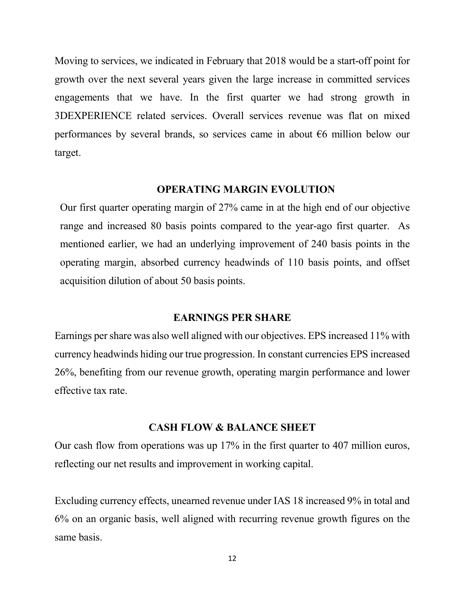Moving to services, we indicated in February that 2018 would be a start-off point for growth over the next several years given the large increase in committed services engagements that we have. In the first quarter we had strong growth in 3DEXPERIENCE related services. Overall services revenue was flat on mixed performances by several brands, so services came in about €6 million below our target.

### OPERATING MARGIN EVOLUTION

Our first quarter operating margin of 27% came in at the high end of our objective range and increased 80 basis points compared to the year-ago first quarter. As mentioned earlier, we had an underlying improvement of 240 basis points in the operating margin, absorbed currency headwinds of 110 basis points, and offset acquisition dilution of about 50 basis points.

#### EARNINGS PER SHARE

Earnings per share was also well aligned with our objectives. EPS increased 11% with currency headwinds hiding our true progression. In constant currencies EPS increased 26%, benefiting from our revenue growth, operating margin performance and lower effective tax rate.

#### CASH FLOW & BALANCE SHEET

Our cash flow from operations was up 17% in the first quarter to 407 million euros, reflecting our net results and improvement in working capital.

Excluding currency effects, unearned revenue under IAS 18 increased 9% in total and 6% on an organic basis, well aligned with recurring revenue growth figures on the same basis.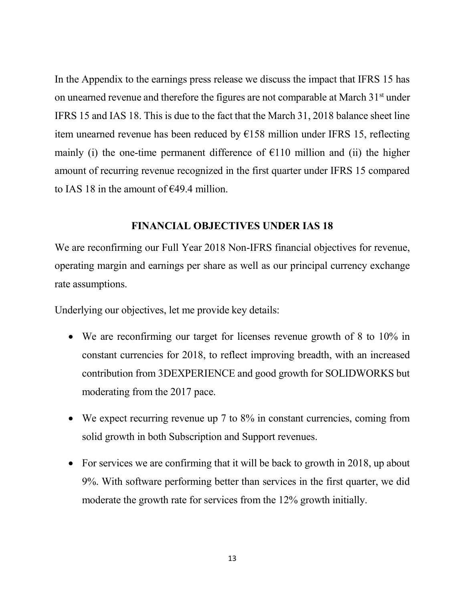In the Appendix to the earnings press release we discuss the impact that IFRS 15 has on unearned revenue and therefore the figures are not comparable at March  $31<sup>st</sup>$  under IFRS 15 and IAS 18. This is due to the fact that the March 31, 2018 balance sheet line item unearned revenue has been reduced by  $E158$  million under IFRS 15, reflecting mainly (i) the one-time permanent difference of  $E110$  million and (ii) the higher amount of recurring revenue recognized in the first quarter under IFRS 15 compared to IAS 18 in the amount of  $\epsilon$ 49.4 million.

### FINANCIAL OBJECTIVES UNDER IAS 18

We are reconfirming our Full Year 2018 Non-IFRS financial objectives for revenue, operating margin and earnings per share as well as our principal currency exchange rate assumptions.

Underlying our objectives, let me provide key details:

- We are reconfirming our target for licenses revenue growth of 8 to 10% in constant currencies for 2018, to reflect improving breadth, with an increased contribution from 3DEXPERIENCE and good growth for SOLIDWORKS but moderating from the 2017 pace.
- We expect recurring revenue up 7 to 8% in constant currencies, coming from solid growth in both Subscription and Support revenues.
- For services we are confirming that it will be back to growth in 2018, up about 9%. With software performing better than services in the first quarter, we did moderate the growth rate for services from the 12% growth initially.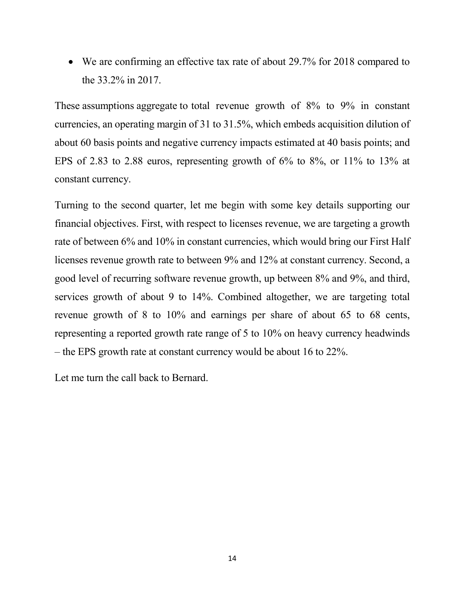We are confirming an effective tax rate of about 29.7% for 2018 compared to the 33.2% in 2017.

These assumptions aggregate to total revenue growth of 8% to 9% in constant currencies, an operating margin of 31 to 31.5%, which embeds acquisition dilution of about 60 basis points and negative currency impacts estimated at 40 basis points; and EPS of 2.83 to 2.88 euros, representing growth of 6% to 8%, or 11% to 13% at constant currency.

Turning to the second quarter, let me begin with some key details supporting our financial objectives. First, with respect to licenses revenue, we are targeting a growth rate of between 6% and 10% in constant currencies, which would bring our First Half licenses revenue growth rate to between 9% and 12% at constant currency. Second, a good level of recurring software revenue growth, up between 8% and 9%, and third, services growth of about 9 to 14%. Combined altogether, we are targeting total revenue growth of 8 to 10% and earnings per share of about 65 to 68 cents, representing a reported growth rate range of 5 to 10% on heavy currency headwinds – the EPS growth rate at constant currency would be about 16 to 22%.

Let me turn the call back to Bernard.